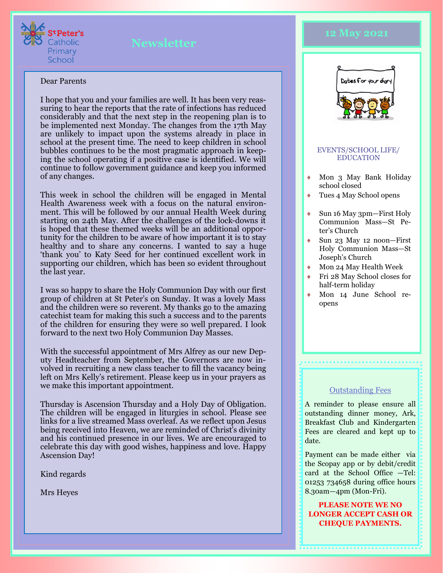

#### Dear Parents

I hope that you and your families are well. It has been very reassuring to hear the reports that the rate of infections has reduced considerably and that the next step in the reopening plan is to be implemented next Monday. The changes from the 17th May are unlikely to impact upon the systems already in place in school at the present time. The need to keep children in school bubbles continues to be the most pragmatic approach in keeping the school operating if a positive case is identified. We will continue to follow government guidance and keep you informed of any changes.

This week in school the children will be engaged in Mental Health Awareness week with a focus on the natural environment. This will be followed by our annual Health Week during starting on 24th May. After the challenges of the lock-downs it is hoped that these themed weeks will be an additional opportunity for the children to be aware of how important it is to stay healthy and to share any concerns. I wanted to say a huge 'thank you' to Katy Seed for her continued excellent work in supporting our children, which has been so evident throughout the last year.

I was so happy to share the Holy Communion Day with our first group of children at St Peter's on Sunday. It was a lovely Mass and the children were so reverent. My thanks go to the amazing catechist team for making this such a success and to the parents of the children for ensuring they were so well prepared. I look forward to the next two Holy Communion Day Masses.

With the successful appointment of Mrs Alfrey as our new Deputy Headteacher from September, the Governors are now involved in recruiting a new class teacher to fill the vacancy being left on Mrs Kelly's retirement. Please keep us in your prayers as we make this important appointment.

Thursday is Ascension Thursday and a Holy Day of Obligation. The children will be engaged in liturgies in school. Please see links for a live streamed Mass overleaf. As we reflect upon Jesus being received into Heaven, we are reminded of Christ's divinity and his continued presence in our lives. We are encouraged to celebrate this day with good wishes, happiness and love. Happy Ascension Day!

Kind regards

Mrs Heyes

# **12 May 2021**



#### EVENTS/SCHOOL LIFE/ EDUCATION

- Mon 3 May Bank Holiday school closed
- Tues 4 May School opens
- Sun 16 May 3pm—First Holy Communion Mass—St Peter's Church
- Sun 23 May 12 noon—First Holy Communion Mass—St Joseph's Church
- Mon 24 May Health Week
- Fri 28 May School closes for half-term holiday
- Mon 14 June School reopens

#### **Outstanding Fees**

A reminder to please ensure all outstanding dinner money, Ark, Breakfast Club and Kindergarten Fees are cleared and kept up to date.

Payment can be made either via the Scopay app or by debit/credit card at the School Office —Tel: 01253 734658 during office hours 8.30am—4pm (Mon-Fri).

**PLEASE NOTE WE NO LONGER ACCEPT CASH OR CHEQUE PAYMENTS.**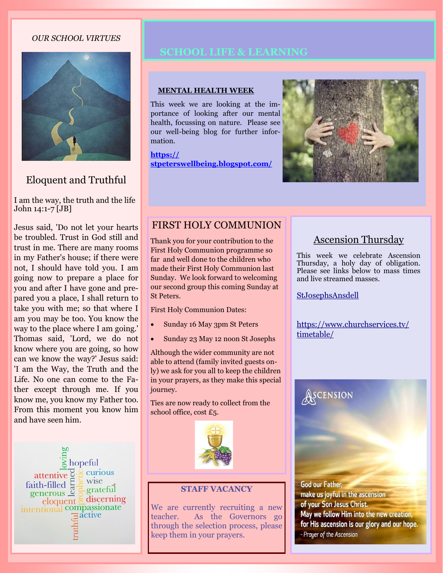### *OUR SCHOOL VIRTUES*



# Eloquent and Truthful

I am the way, the truth and the life John 14:1-7 [JB]

Jesus said, 'Do not let your hearts be troubled. Trust in God still and trust in me. There are many rooms in my Father's house; if there were not, I should have told you. I am going now to prepare a place for you and after I have gone and prepared you a place, I shall return to take you with me; so that where I am you may be too. You know the way to the place where I am going.' Thomas said, 'Lord, we do not know where you are going, so how can we know the way?' Jesus said: 'I am the Way, the Truth and the Life. No one can come to the Father except through me. If you know me, you know my Father too. From this moment you know him and have seen him.



#### **MENTAL HEALTH WEEK**

This week we are looking at the importance of looking after our mental health, focussing on nature. Please see our well-being blog for further information.

**[https://](https://stpeterswellbeing.blogspot.com/) [stpeterswellbeing.blogspot.com/](https://stpeterswellbeing.blogspot.com/)**



## FIRST HOLY COMMUNION

Thank you for your contribution to the First Holy Communion programme so far and well done to the children who made their First Holy Communion last Sunday. We look forward to welcoming our second group this coming Sunday at St Peters.

First Holy Communion Dates:

- Sunday 16 May 3pm St Peters
- Sunday 23 May 12 noon St Josephs

Although the wider community are not able to attend (family invited guests only) we ask for you all to keep the children in your prayers, as they make this special journey.

Ties are now ready to collect from the school office, cost £5.



#### **STAFF VACANCY**

We are currently recruiting a new teacher. As the Governors go through the selection process, please keep them in your prayers.

# Ascension Thursday

This week we celebrate Ascension Thursday, a holy day of obligation. Please see links below to mass times and live streamed masses.

#### [StJosephsAnsdell](https://www.youtube.com/channel/UCKb-kz99VqCuB2o8S0IvsMg)

**ASCENSION** 

[https://www.churchservices.tv/](https://www.churchservices.tv/timetable/) [timetable/](https://www.churchservices.tv/timetable/)

God our Father, make us joyful in the ascension of your Son Jesus Christ. May we follow Him into the new creation, for His ascension is our glory and our hope. - Prayer of the Ascension